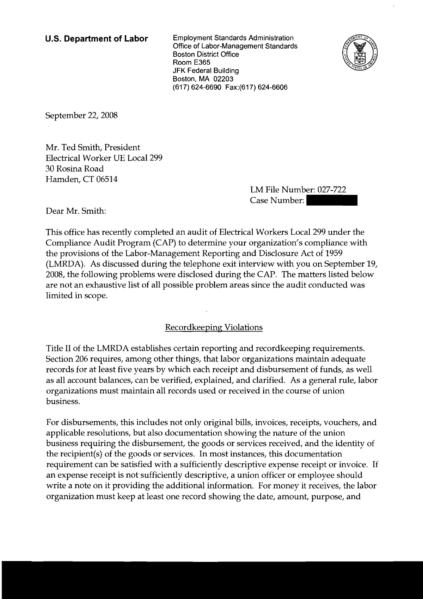**U.S. Department of Labor** Employment Standards Administration Office of Labor-Management Standards Boston District Office Room E365 JFK Federal Building Boston, MA 02203 (617) 624-6690 Fax:(617) 624-6606



September 22, 2008

Mr. Ted Smith, President Electrical Worker UE Local 299 30 Rosina Road Hamden, CT 06514

LM File Number: 027-722  $(27.7)$  624-6606<br>
CASE Number: 027-722<br>
Case Number: 027-722<br>
Case Number: 027-722<br>
LA Workers Local 299 under the

Dear Mr. Smith:

This office has recently completed an audit of Electrical Workers Local 299 under the Compliance Audit Program (CAP) to determine your organization's compliance with the provisions of the Labor-Management Reporting and Disclosure Act of 1959 (LMRDA). As discussed during the telephone exit interview with you on September 19, 2008, the following problems were disclosed during the CAP. The matters listed below are not an exhaustive list of all possible problem areas since the audit conducted was limited in scope.

Recordkeeping Violations

Title I1 of the LMRDA establishes certain reporting and recordkeeping requirements. Section 206 requires, among other things, that labor organizations maintain adequate records for at least five years by which each receipt and disbursement of funds, as well as all account balances, can be verified, explained, and clarified. As a general rule, labor organizations must maintain all records used or received in the course of union business.

For disbursements, this includes not only original bills, invoices, receipts, vouchers, and applicable resolutions, but also documentation showing the nature of the union business requiring the disbursement, the goods or services received, and the identity of the recipient(s) of the goods or services. In most instances, this documentation requirement can be satisfied with a sufficiently descriptive expense receipt or invoice. If an expense receipt is not sufficiently descriptive, a union officer or employee should write a note on it providing the additional information. For money it receives, the labor organization must keep at least one record showing the date, amount, purpose, and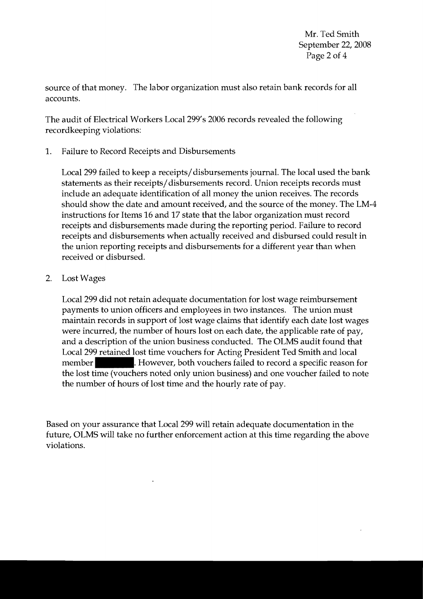Mr. Ted Smith September 22, 2008 Page 2 of 4

source of that money. The labor organization must also retain bank records for all accounts.

The audit of Electrical Workers Local 299's 2006 records revealed the following recordkeeping violations:

1. Failure to Record Receipts and Disbursements

Local 299 failed to keep a receipts/disbursements journal. The local used the bank statements as their receipts/disbursements record. Union receipts records must include an adequate identification of all money the union receives. The records should show the date and amount received, and the source of the money. The LM-4 instructions for Items 16 and 17 state that the labor organization must record receipts and disbursements made during the reporting period. Failure to record receipts and disbursements when actually received and disbursed could result in the union reporting receipts and disbursements for a different year than when received or disbursed.

## 2. Lost Wages

Local 299 did not retain adequate documentation for lost wage reimbursement payments to union officers and employees in two instances. The union must maintain records in support of lost wage claims that identify each date lost wages were incurred, the number of hours lost on each date, the applicable rate of pay, and a description of the union business conducted. The OLMS audit found that Local 299 retained lost time vouchers for Acting President Ted Smith and local member **Fig. 3. However, both vouchers failed to record a specific reason for** the lost time (vouchers noted only union business) and one voucher failed to note the number of hours of lost time and the hourly rate of pay.

Based on your assurance that Local 299 will retain adequate documentation in the future, OLMS will take no further enforcement action at this time regarding the above violations.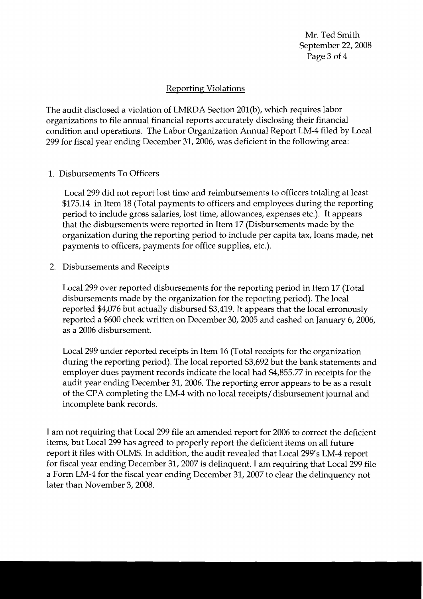Mr. Ted Smith September 22, 2008 Page 3 of 4

## **Reporting Violations**

The audit disclosed a violation of LMRDA Section 201(b), which requires labor organizations to file annual financial reports accurately disclosing their financial condition and operations. The Labor Organization Annual Report LM-4 filed by Local 299 for fiscal year ending December 31,2006, was deficient in the following area:

1. Disbursements To Officers

Local 299 did not report lost time and reimbursements to officers totaling at least \$175.14 in Item 18 (Total payments to officers and employees during the reporting period to include gross salaries, lost time, allowances, expenses etc.). It appears that the disbursements were reported in Item 17 (Disbursements made by the organization during the reporting period to include per capita tax, loans made, net payments to officers, payments for office supplies, etc.).

2. Disbursements and Receipts

Local 299 over reported disbursements for the reporting period in Item 17 (Total disbursements made by the organization for the reporting period). The local reported \$4,076 but actually disbursed \$3,419. It appears that the local erronously reported a \$600 check written on December 30,2005 and cashed on January 6,2006, as a 2006 disbursement.

Local 299 under reported receipts in Item 16 (Total receipts for the organization during the reporting period). The local reported \$3,692 but the bank statements and employer dues payment records indicate the local had \$4,855.77 in receipts for the audit year ending December 31,2006. The reporting error appears to be as a result of the CPA completing the LM-4 with no local receipts/disbursement journal and incomplete bank records.

I am not requiring that Local 299 file an amended report for 2006 to correct the deficient items, but Local 299 has agreed to properly report the deficient items on all future report it files with OLMS. In addition, the audit revealed that Local 299's LM-4 report for fiscal year ending December 31,2007 is delinquent. I am requiring that Local 299 file a Form LM-4 for the fiscal year ending December 31,2007 to clear the delinquency not later than November 3,2008.